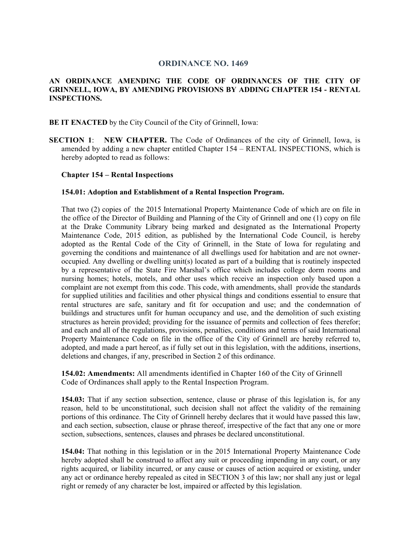# **ORDINANCE NO. 1469**

## **AN ORDINANCE AMENDING THE CODE OF ORDINANCES OF THE CITY OF GRINNELL, IOWA, BY AMENDING PROVISIONS BY ADDING CHAPTER 154 - RENTAL INSPECTIONS.**

**BE IT ENACTED** by the City Council of the City of Grinnell, Iowa:

**SECTION 1**: **NEW CHAPTER.** The Code of Ordinances of the city of Grinnell, Iowa, is amended by adding a new chapter entitled Chapter 154 – RENTAL INSPECTIONS, which is hereby adopted to read as follows:

#### **Chapter 154 – Rental Inspections**

#### **154.01: Adoption and Establishment of a Rental Inspection Program.**

That two (2) copies of the 2015 International Property Maintenance Code of which are on file in the office of the Director of Building and Planning of the City of Grinnell and one (1) copy on file at the Drake Community Library being marked and designated as the International Property Maintenance Code, 2015 edition, as published by the International Code Council, is hereby adopted as the Rental Code of the City of Grinnell, in the State of Iowa for regulating and governing the conditions and maintenance of all dwellings used for habitation and are not owneroccupied. Any dwelling or dwelling unit(s) located as part of a building that is routinely inspected by a representative of the State Fire Marshal's office which includes college dorm rooms and nursing homes; hotels, motels, and other uses which receive an inspection only based upon a complaint are not exempt from this code. This code, with amendments, shall provide the standards for supplied utilities and facilities and other physical things and conditions essential to ensure that rental structures are safe, sanitary and fit for occupation and use; and the condemnation of buildings and structures unfit for human occupancy and use, and the demolition of such existing structures as herein provided; providing for the issuance of permits and collection of fees therefor; and each and all of the regulations, provisions, penalties, conditions and terms of said International Property Maintenance Code on file in the office of the City of Grinnell are hereby referred to, adopted, and made a part hereof, as if fully set out in this legislation, with the additions, insertions, deletions and changes, if any, prescribed in Section 2 of this ordinance.

**154.02: Amendments:** All amendments identified in Chapter 160 of the City of Grinnell Code of Ordinances shall apply to the Rental Inspection Program.

**154.03:** That if any section subsection, sentence, clause or phrase of this legislation is, for any reason, held to be unconstitutional, such decision shall not affect the validity of the remaining portions of this ordinance. The City of Grinnell hereby declares that it would have passed this law, and each section, subsection, clause or phrase thereof, irrespective of the fact that any one or more section, subsections, sentences, clauses and phrases be declared unconstitutional.

**154.04:** That nothing in this legislation or in the 2015 International Property Maintenance Code hereby adopted shall be construed to affect any suit or proceeding impending in any court, or any rights acquired, or liability incurred, or any cause or causes of action acquired or existing, under any act or ordinance hereby repealed as cited in SECTION 3 of this law; nor shall any just or legal right or remedy of any character be lost, impaired or affected by this legislation.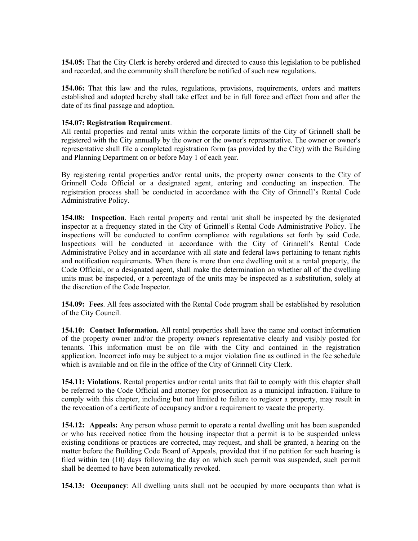**154.05:** That the City Clerk is hereby ordered and directed to cause this legislation to be published and recorded, and the community shall therefore be notified of such new regulations.

**154.06:** That this law and the rules, regulations, provisions, requirements, orders and matters established and adopted hereby shall take effect and be in full force and effect from and after the date of its final passage and adoption.

### **154.07: Registration Requirement**.

All rental properties and rental units within the corporate limits of the City of Grinnell shall be registered with the City annually by the owner or the owner's representative. The owner or owner's representative shall file a completed registration form (as provided by the City) with the Building and Planning Department on or before May 1 of each year.

By registering rental properties and/or rental units, the property owner consents to the City of Grinnell Code Official or a designated agent, entering and conducting an inspection. The registration process shall be conducted in accordance with the City of Grinnell's Rental Code Administrative Policy.

**154.08: Inspection**. Each rental property and rental unit shall be inspected by the designated inspector at a frequency stated in the City of Grinnell's Rental Code Administrative Policy. The inspections will be conducted to confirm compliance with regulations set forth by said Code. Inspections will be conducted in accordance with the City of Grinnell's Rental Code Administrative Policy and in accordance with all state and federal laws pertaining to tenant rights and notification requirements. When there is more than one dwelling unit at a rental property, the Code Official, or a designated agent, shall make the determination on whether all of the dwelling units must be inspected, or a percentage of the units may be inspected as a substitution, solely at the discretion of the Code Inspector.

**154.09: Fees**. All fees associated with the Rental Code program shall be established by resolution of the City Council.

**154.10: Contact Information.** All rental properties shall have the name and contact information of the property owner and/or the property owner's representative clearly and visibly posted for tenants. This information must be on file with the City and contained in the registration application. Incorrect info may be subject to a major violation fine as outlined in the fee schedule which is available and on file in the office of the City of Grinnell City Clerk.

**154.11: Violations**. Rental properties and/or rental units that fail to comply with this chapter shall be referred to the Code Official and attorney for prosecution as a municipal infraction. Failure to comply with this chapter, including but not limited to failure to register a property, may result in the revocation of a certificate of occupancy and/or a requirement to vacate the property.

**154.12: Appeals:** Any person whose permit to operate a rental dwelling unit has been suspended or who has received notice from the housing inspector that a permit is to be suspended unless existing conditions or practices are corrected, may request, and shall be granted, a hearing on the matter before the Building Code Board of Appeals, provided that if no petition for such hearing is filed within ten (10) days following the day on which such permit was suspended, such permit shall be deemed to have been automatically revoked.

**154.13: Occupancy**: All dwelling units shall not be occupied by more occupants than what is